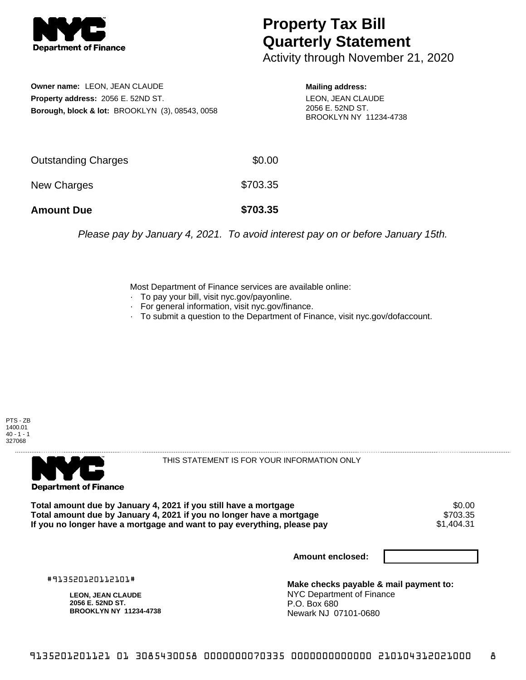

## **Property Tax Bill Quarterly Statement**

Activity through November 21, 2020

**Owner name:** LEON, JEAN CLAUDE **Property address:** 2056 E. 52ND ST. **Borough, block & lot:** BROOKLYN (3), 08543, 0058 **Mailing address:**

LEON, JEAN CLAUDE 2056 E. 52ND ST. BROOKLYN NY 11234-4738

| <b>Amount Due</b>          | \$703.35 |
|----------------------------|----------|
| New Charges                | \$703.35 |
| <b>Outstanding Charges</b> | \$0.00   |

Please pay by January 4, 2021. To avoid interest pay on or before January 15th.

Most Department of Finance services are available online:

- · To pay your bill, visit nyc.gov/payonline.
- For general information, visit nyc.gov/finance.
- · To submit a question to the Department of Finance, visit nyc.gov/dofaccount.





THIS STATEMENT IS FOR YOUR INFORMATION ONLY

Total amount due by January 4, 2021 if you still have a mortgage \$0.00<br>Total amount due by January 4, 2021 if you no longer have a mortgage \$703.35 **Total amount due by January 4, 2021 if you no longer have a mortgage** \$703.35 If you no longer have a mortgage and want to pay everything, please pay

**Amount enclosed:**

#913520120112101#

**LEON, JEAN CLAUDE 2056 E. 52ND ST. BROOKLYN NY 11234-4738**

**Make checks payable & mail payment to:** NYC Department of Finance P.O. Box 680 Newark NJ 07101-0680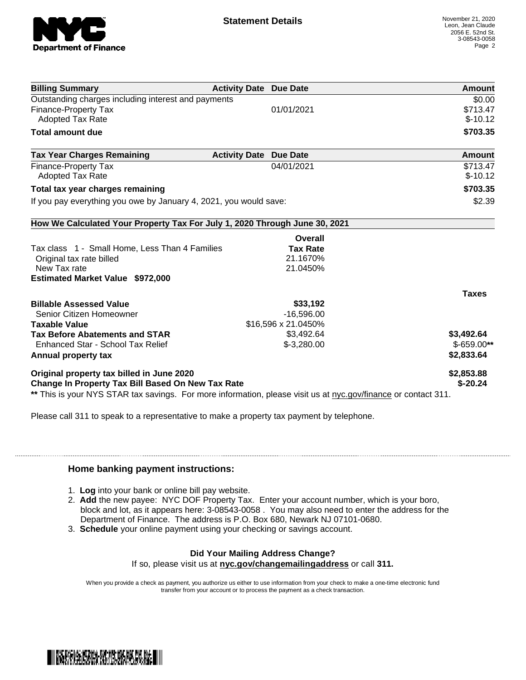

| <b>Billing Summary</b>                                                     | <b>Activity Date Due Date</b>           | Amount       |
|----------------------------------------------------------------------------|-----------------------------------------|--------------|
| Outstanding charges including interest and payments                        |                                         | \$0.00       |
| <b>Finance-Property Tax</b>                                                | 01/01/2021                              | \$713.47     |
| <b>Adopted Tax Rate</b>                                                    |                                         | $$-10.12$    |
| <b>Total amount due</b>                                                    |                                         | \$703.35     |
| <b>Tax Year Charges Remaining</b>                                          | <b>Due Date</b><br><b>Activity Date</b> | Amount       |
| <b>Finance-Property Tax</b>                                                | 04/01/2021                              | \$713.47     |
| <b>Adopted Tax Rate</b>                                                    |                                         | $$-10.12$    |
| Total tax year charges remaining                                           |                                         | \$703.35     |
| If you pay everything you owe by January 4, 2021, you would save:          |                                         | \$2.39       |
| How We Calculated Your Property Tax For July 1, 2020 Through June 30, 2021 |                                         |              |
|                                                                            | Overall                                 |              |
| Tax class 1 - Small Home, Less Than 4 Families                             | <b>Tax Rate</b>                         |              |
| Original tax rate billed                                                   | 21.1670%                                |              |
| New Tax rate                                                               | 21.0450%                                |              |
| <b>Estimated Market Value \$972,000</b>                                    |                                         |              |
|                                                                            |                                         | <b>Taxes</b> |
| <b>Billable Assessed Value</b>                                             | \$33,192                                |              |
| Senior Citizen Homeowner                                                   | $-16,596.00$                            |              |
| <b>Taxable Value</b>                                                       | \$16,596 x 21.0450%                     |              |
| <b>Tax Before Abatements and STAR</b>                                      | \$3,492.64                              | \$3,492.64   |
| Enhanced Star - School Tax Relief                                          | $$-3,280.00$                            | $$-659.00**$ |
|                                                                            |                                         | \$2,833.64   |
|                                                                            |                                         |              |
| Annual property tax<br>Original property tax billed in June 2020           |                                         | \$2,853.88   |

Please call 311 to speak to a representative to make a property tax payment by telephone.

## **Home banking payment instructions:**

- 1. **Log** into your bank or online bill pay website.
- 2. **Add** the new payee: NYC DOF Property Tax. Enter your account number, which is your boro, block and lot, as it appears here: 3-08543-0058 . You may also need to enter the address for the Department of Finance. The address is P.O. Box 680, Newark NJ 07101-0680.
- 3. **Schedule** your online payment using your checking or savings account.

## **Did Your Mailing Address Change?**

If so, please visit us at **nyc.gov/changemailingaddress** or call **311.**

When you provide a check as payment, you authorize us either to use information from your check to make a one-time electronic fund transfer from your account or to process the payment as a check transaction.